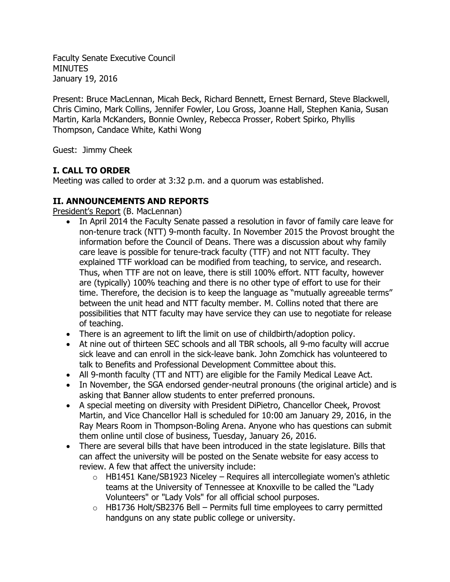Faculty Senate Executive Council **MINUTES** January 19, 2016

Present: Bruce MacLennan, Micah Beck, Richard Bennett, Ernest Bernard, Steve Blackwell, Chris Cimino, Mark Collins, Jennifer Fowler, Lou Gross, Joanne Hall, Stephen Kania, Susan Martin, Karla McKanders, Bonnie Ownley, Rebecca Prosser, Robert Spirko, Phyllis Thompson, Candace White, Kathi Wong

Guest: Jimmy Cheek

# **I. CALL TO ORDER**

Meeting was called to order at 3:32 p.m. and a quorum was established.

## **II. ANNOUNCEMENTS AND REPORTS**

President's Report (B. MacLennan)

- In April 2014 the Faculty Senate passed a resolution in favor of family care leave for non-tenure track (NTT) 9-month faculty. In November 2015 the Provost brought the information before the Council of Deans. There was a discussion about why family care leave is possible for tenure-track faculty (TTF) and not NTT faculty. They explained TTF workload can be modified from teaching, to service, and research. Thus, when TTF are not on leave, there is still 100% effort. NTT faculty, however are (typically) 100% teaching and there is no other type of effort to use for their time. Therefore, the decision is to keep the language as "mutually agreeable terms" between the unit head and NTT faculty member. M. Collins noted that there are possibilities that NTT faculty may have service they can use to negotiate for release of teaching.
- There is an agreement to lift the limit on use of childbirth/adoption policy.
- At nine out of thirteen SEC schools and all TBR schools, all 9-mo faculty will accrue sick leave and can enroll in the sick-leave bank. John Zomchick has volunteered to talk to Benefits and Professional Development Committee about this.
- All 9-month faculty (TT and NTT) are eligible for the Family Medical Leave Act.
- In November, the SGA endorsed gender-neutral pronouns (the original article) and is asking that Banner allow students to enter preferred pronouns.
- A special meeting on diversity with President DiPietro, Chancellor Cheek, Provost Martin, and Vice Chancellor Hall is scheduled for 10:00 am January 29, 2016, in the Ray Mears Room in Thompson-Boling Arena. Anyone who has questions can submit them online until close of business, Tuesday, January 26, 2016.
- There are several bills that have been introduced in the state legislature. Bills that can affect the university will be posted on the Senate website for easy access to review. A few that affect the university include:
	- $\circ$  HB1451 Kane/SB1923 Niceley Requires all intercollegiate women's athletic teams at the University of Tennessee at Knoxville to be called the "Lady Volunteers" or "Lady Vols" for all official school purposes.
	- $\circ$  HB1736 Holt/SB2376 Bell Permits full time employees to carry permitted handguns on any state public college or university.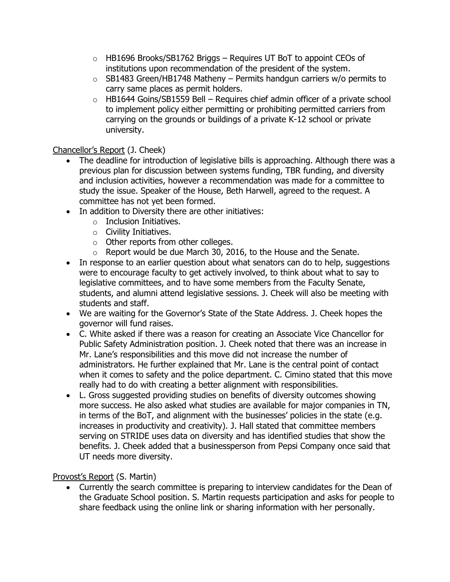- $\circ$  HB1696 Brooks/SB1762 Briggs Requires UT BoT to appoint CEOs of institutions upon recommendation of the president of the system.
- $\circ$  SB1483 Green/HB1748 Matheny Permits handgun carriers w/o permits to carry same places as permit holders.
- $\circ$  HB1644 Goins/SB1559 Bell Requires chief admin officer of a private school to implement policy either permitting or prohibiting permitted carriers from carrying on the grounds or buildings of a private K-12 school or private university.

## Chancellor's Report (J. Cheek)

- The deadline for introduction of legislative bills is approaching. Although there was a previous plan for discussion between systems funding, TBR funding, and diversity and inclusion activities, however a recommendation was made for a committee to study the issue. Speaker of the House, Beth Harwell, agreed to the request. A committee has not yet been formed.
- In addition to Diversity there are other initiatives:
	- $\circ$  Inclusion Initiatives.
	- $\circ$  Civility Initiatives.
	- o Other reports from other colleges.
	- o Report would be due March 30, 2016, to the House and the Senate.
- In response to an earlier question about what senators can do to help, suggestions were to encourage faculty to get actively involved, to think about what to say to legislative committees, and to have some members from the Faculty Senate, students, and alumni attend legislative sessions. J. Cheek will also be meeting with students and staff.
- We are waiting for the Governor's State of the State Address. J. Cheek hopes the governor will fund raises.
- C. White asked if there was a reason for creating an Associate Vice Chancellor for Public Safety Administration position. J. Cheek noted that there was an increase in Mr. Lane's responsibilities and this move did not increase the number of administrators. He further explained that Mr. Lane is the central point of contact when it comes to safety and the police department. C. Cimino stated that this move really had to do with creating a better alignment with responsibilities.
- L. Gross suggested providing studies on benefits of diversity outcomes showing more success. He also asked what studies are available for major companies in TN, in terms of the BoT, and alignment with the businesses' policies in the state (e.g. increases in productivity and creativity). J. Hall stated that committee members serving on STRIDE uses data on diversity and has identified studies that show the benefits. J. Cheek added that a businessperson from Pepsi Company once said that UT needs more diversity.

## Provost's Report (S. Martin)

 Currently the search committee is preparing to interview candidates for the Dean of the Graduate School position. S. Martin requests participation and asks for people to share feedback using the online link or sharing information with her personally.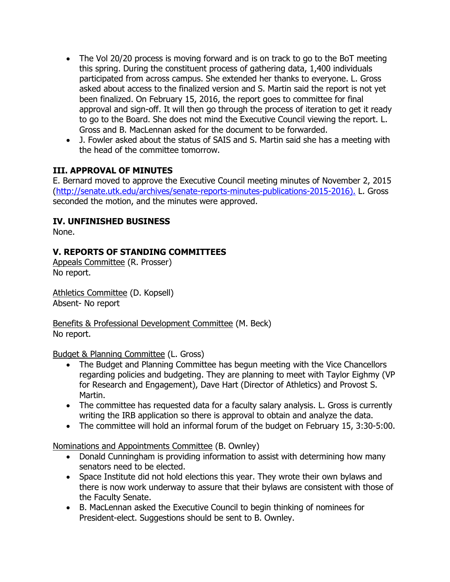- The Vol 20/20 process is moving forward and is on track to go to the BoT meeting this spring. During the constituent process of gathering data, 1,400 individuals participated from across campus. She extended her thanks to everyone. L. Gross asked about access to the finalized version and S. Martin said the report is not yet been finalized. On February 15, 2016, the report goes to committee for final approval and sign-off. It will then go through the process of iteration to get it ready to go to the Board. She does not mind the Executive Council viewing the report. L. Gross and B. MacLennan asked for the document to be forwarded.
- J. Fowler asked about the status of SAIS and S. Martin said she has a meeting with the head of the committee tomorrow.

### **III. APPROVAL OF MINUTES**

E. Bernard moved to approve the Executive Council meeting minutes of November 2, 2015 [\(http://senate.utk.edu/archives/senate-reports-minutes-publications-2015-2016\)](http://senate.utk.edu/archives/senate-reports-minutes-publications-2015-2016). L. Gross seconded the motion, and the minutes were approved.

### **IV. UNFINISHED BUSINESS**

None.

## **V. REPORTS OF STANDING COMMITTEES**

Appeals Committee (R. Prosser) No report.

Athletics Committee (D. Kopsell) Absent- No report

Benefits & Professional Development Committee (M. Beck) No report.

Budget & Planning Committee (L. Gross)

- The Budget and Planning Committee has begun meeting with the Vice Chancellors regarding policies and budgeting. They are planning to meet with Taylor Eighmy (VP for Research and Engagement), Dave Hart (Director of Athletics) and Provost S. Martin.
- The committee has requested data for a faculty salary analysis. L. Gross is currently writing the IRB application so there is approval to obtain and analyze the data.
- The committee will hold an informal forum of the budget on February 15, 3:30-5:00.

Nominations and Appointments Committee (B. Ownley)

- Donald Cunningham is providing information to assist with determining how many senators need to be elected.
- Space Institute did not hold elections this year. They wrote their own bylaws and there is now work underway to assure that their bylaws are consistent with those of the Faculty Senate.
- B. MacLennan asked the Executive Council to begin thinking of nominees for President-elect. Suggestions should be sent to B. Ownley.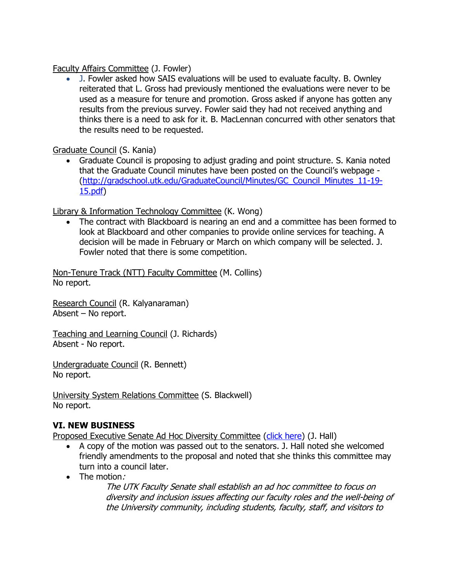Faculty Affairs Committee (J. Fowler)

 J. Fowler asked how SAIS evaluations will be used to evaluate faculty. B. Ownley reiterated that L. Gross had previously mentioned the evaluations were never to be used as a measure for tenure and promotion. Gross asked if anyone has gotten any results from the previous survey. Fowler said they had not received anything and thinks there is a need to ask for it. B. MacLennan concurred with other senators that the results need to be requested.

Graduate Council (S. Kania)

 Graduate Council is proposing to adjust grading and point structure. S. Kania noted that the Graduate Council minutes have been posted on the Council's webpage - [\(http://gradschool.utk.edu/GraduateCouncil/Minutes/GC\\_Council\\_Minutes\\_11-19-](http://gradschool.utk.edu/GraduateCouncil/Minutes/GC_Council_Minutes_11-19-15.pdf) [15.pdf\)](http://gradschool.utk.edu/GraduateCouncil/Minutes/GC_Council_Minutes_11-19-15.pdf)

Library & Information Technology Committee (K. Wong)

 The contract with Blackboard is nearing an end and a committee has been formed to look at Blackboard and other companies to provide online services for teaching. A decision will be made in February or March on which company will be selected. J. Fowler noted that there is some competition.

Non-Tenure Track (NTT) Faculty Committee (M. Collins) No report.

Research Council (R. Kalyanaraman) Absent – No report.

Teaching and Learning Council (J. Richards) Absent - No report.

Undergraduate Council (R. Bennett) No report.

University System Relations Committee (S. Blackwell) No report.

# **VI. NEW BUSINESS**

Proposed Executive Senate Ad Hoc Diversity Committee [\(click here\)](http://senate.utk.edu/wp-content/uploads/sites/16/2015/11/Proposal-for-Establishment-of-Ad-Hoc-Senate-Diversity-Committee.pdf) (J. Hall)

- A copy of the motion was passed out to the senators. J. Hall noted she welcomed friendly amendments to the proposal and noted that she thinks this committee may turn into a council later.
- The motion:

The UTK Faculty Senate shall establish an ad hoc committee to focus on diversity and inclusion issues affecting our faculty roles and the well-being of the University community, including students, faculty, staff, and visitors to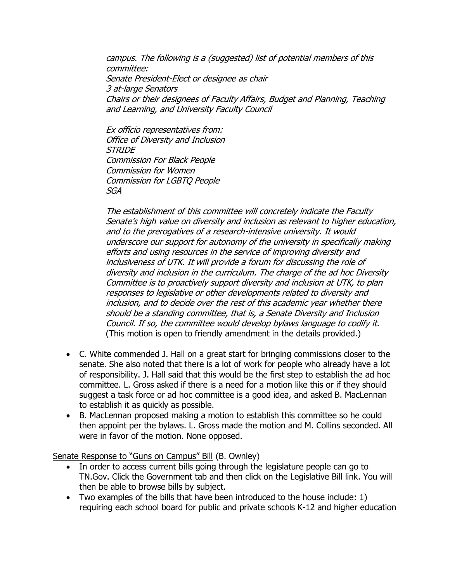campus. The following is a (suggested) list of potential members of this committee: Senate President-Elect or designee as chair 3 at-large Senators Chairs or their designees of Faculty Affairs, Budget and Planning, Teaching and Learning, and University Faculty Council

Ex officio representatives from: Office of Diversity and Inclusion **STRIDE** Commission For Black People Commission for Women Commission for LGBTQ People SGA

The establishment of this committee will concretely indicate the Faculty Senate's high value on diversity and inclusion as relevant to higher education, and to the prerogatives of a research-intensive university. It would underscore our support for autonomy of the university in specifically making efforts and using resources in the service of improving diversity and inclusiveness of UTK. It will provide a forum for discussing the role of diversity and inclusion in the curriculum. The charge of the ad hoc Diversity Committee is to proactively support diversity and inclusion at UTK, to plan responses to legislative or other developments related to diversity and inclusion, and to decide over the rest of this academic year whether there should be a standing committee, that is, a Senate Diversity and Inclusion Council. If so, the committee would develop bylaws language to codify it. (This motion is open to friendly amendment in the details provided.)

- C. White commended J. Hall on a great start for bringing commissions closer to the senate. She also noted that there is a lot of work for people who already have a lot of responsibility. J. Hall said that this would be the first step to establish the ad hoc committee. L. Gross asked if there is a need for a motion like this or if they should suggest a task force or ad hoc committee is a good idea, and asked B. MacLennan to establish it as quickly as possible.
- B. MacLennan proposed making a motion to establish this committee so he could then appoint per the bylaws. L. Gross made the motion and M. Collins seconded. All were in favor of the motion. None opposed.

Senate Response to "Guns on Campus" Bill (B. Ownley)

- In order to access current bills going through the legislature people can go to TN.Gov. Click the Government tab and then click on the Legislative Bill link. You will then be able to browse bills by subject.
- Two examples of the bills that have been introduced to the house include: 1) requiring each school board for public and private schools K-12 and higher education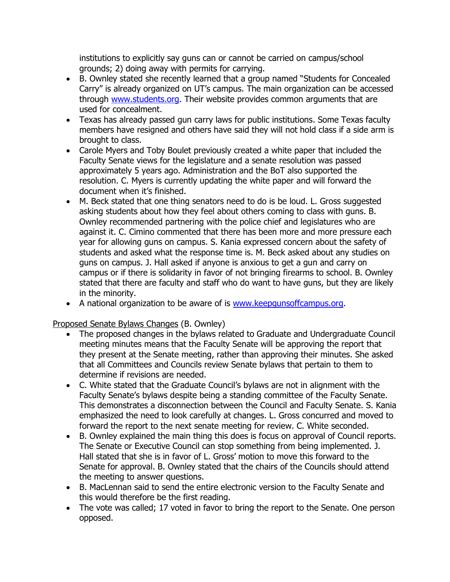institutions to explicitly say guns can or cannot be carried on campus/school grounds; 2) doing away with permits for carrying.

- B. Ownley stated she recently learned that a group named "Students for Concealed Carry" is already organized on UT's campus. The main organization can be accessed through [www.students.org.](http://www.students.org/) Their website provides common arguments that are used for concealment.
- Texas has already passed gun carry laws for public institutions. Some Texas faculty members have resigned and others have said they will not hold class if a side arm is brought to class.
- Carole Myers and Toby Boulet previously created a white paper that included the Faculty Senate views for the legislature and a senate resolution was passed approximately 5 years ago. Administration and the BoT also supported the resolution. C. Myers is currently updating the white paper and will forward the document when it's finished.
- M. Beck stated that one thing senators need to do is be loud. L. Gross suggested asking students about how they feel about others coming to class with guns. B. Ownley recommended partnering with the police chief and legislatures who are against it. C. Cimino commented that there has been more and more pressure each year for allowing guns on campus. S. Kania expressed concern about the safety of students and asked what the response time is. M. Beck asked about any studies on guns on campus. J. Hall asked if anyone is anxious to get a gun and carry on campus or if there is solidarity in favor of not bringing firearms to school. B. Ownley stated that there are faculty and staff who do want to have guns, but they are likely in the minority.
- A national organization to be aware of is [www.keepgunsoffcampus.org.](http://www.keepgunsoffcampus.org/)

Proposed Senate Bylaws Changes (B. Ownley)

- The proposed changes in the bylaws related to Graduate and Undergraduate Council meeting minutes means that the Faculty Senate will be approving the report that they present at the Senate meeting, rather than approving their minutes. She asked that all Committees and Councils review Senate bylaws that pertain to them to determine if revisions are needed.
- C. White stated that the Graduate Council's bylaws are not in alignment with the Faculty Senate's bylaws despite being a standing committee of the Faculty Senate. This demonstrates a disconnection between the Council and Faculty Senate. S. Kania emphasized the need to look carefully at changes. L. Gross concurred and moved to forward the report to the next senate meeting for review. C. White seconded.
- B. Ownley explained the main thing this does is focus on approval of Council reports. The Senate or Executive Council can stop something from being implemented. J. Hall stated that she is in favor of L. Gross' motion to move this forward to the Senate for approval. B. Ownley stated that the chairs of the Councils should attend the meeting to answer questions.
- B. MacLennan said to send the entire electronic version to the Faculty Senate and this would therefore be the first reading.
- The vote was called; 17 voted in favor to bring the report to the Senate. One person opposed.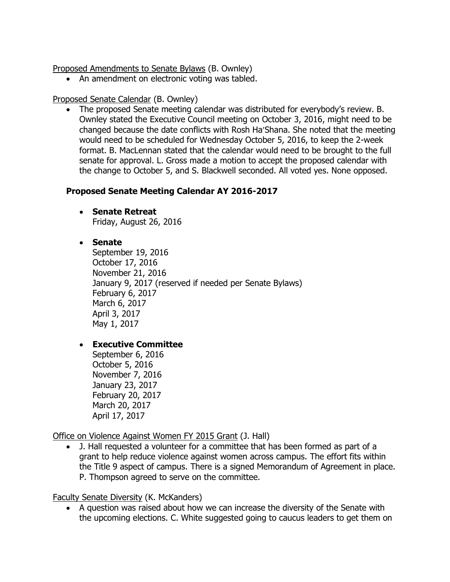Proposed Amendments to Senate Bylaws (B. Ownley)

• An amendment on electronic voting was tabled.

#### Proposed Senate Calendar (B. Ownley)

 The proposed Senate meeting calendar was distributed for everybody's review. B. Ownley stated the Executive Council meeting on October 3, 2016, might need to be changed because the date conflicts with Rosh Ha'Shana. She noted that the meeting would need to be scheduled for Wednesday October 5, 2016, to keep the 2-week format. B. MacLennan stated that the calendar would need to be brought to the full senate for approval. L. Gross made a motion to accept the proposed calendar with the change to October 5, and S. Blackwell seconded. All voted yes. None opposed.

## **Proposed Senate Meeting Calendar AY 2016-2017**

**•** Senate Retreat Friday, August 26, 2016

## **Senate**

September 19, 2016 October 17, 2016 November 21, 2016 January 9, 2017 (reserved if needed per Senate Bylaws) February 6, 2017 March 6, 2017 April 3, 2017 May 1, 2017

## **Executive Committee**

September 6, 2016 October 5, 2016 November 7, 2016 January 23, 2017 February 20, 2017 March 20, 2017 April 17, 2017

Office on Violence Against Women FY 2015 Grant (J. Hall)

 J. Hall requested a volunteer for a committee that has been formed as part of a grant to help reduce violence against women across campus. The effort fits within the Title 9 aspect of campus. There is a signed Memorandum of Agreement in place. P. Thompson agreed to serve on the committee.

#### Faculty Senate Diversity (K. McKanders)

 A question was raised about how we can increase the diversity of the Senate with the upcoming elections. C. White suggested going to caucus leaders to get them on